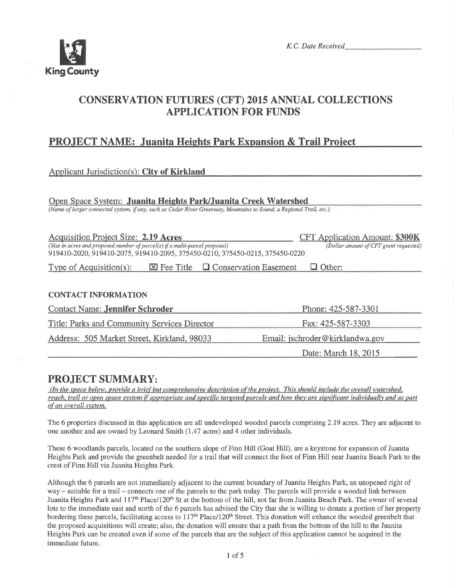

K,C. Date Received

# CONSERVATION FUTURES (CFT) 2015 ANNUAL COLLECTIONS APPLICATION FOR FUNDS

# PROJECT NAME: Juanita Heights Park Expansion & Trail Project

### Applicant Jurisdiction(s): City of Kirkland

Open Space System: Juanita Heights Park/Juanita Creek Watershed

(Name of larger connected systern, if any, such as Cedar River Greenway, Mountains to Sound, a Regional Trail, etc.)

| Acquisition Project Size: 2.19 Acres                                         | <b>CFT</b> Application Amount: \$300K  |
|------------------------------------------------------------------------------|----------------------------------------|
| (Size in acres and proposed number of parcel(s) if a multi-parcel proposal)  | (Dollar amount of CFT grant requested) |
| 919410-2020, 919410-2075, 919410-2095, 375450-0210, 375450-0215, 375450-0220 |                                        |

Type of Acquisition(s):  $\boxtimes$  Fee Title  $\Box$  Conservation Easement  $\Box$  Other:

#### **CONTACT INFORMATION**

| <b>Contact Name: Jennifer Schroder</b>              | Phone: 425-587-3301             |  |
|-----------------------------------------------------|---------------------------------|--|
| <b>Title: Parks and Community Services Director</b> | Fax: 425-587-3303               |  |
| Address: 505 Market Street, Kirkland, 98033         | Email: jschroder@kirklandwa.gov |  |
|                                                     | Date: March 18, 2015            |  |

# PROJECT SUMMARY:

(In the space below, provide a brief but comprehensive description of the project. This should include the overall watershed, reach, trail or open space system if appropriate and specific targeted parcels and how they are significant individually and as part of an overall system.

The 6 properties discussed in this application are all undeveloped wooded parcels comprising 2.79 acres. They are adjacent to one another and are owned by Leonard Smith (1.47 acres) and 4 other individuals.

These 6 woodlands parcels, located on the southern slope of Finn Hill (Goat Hill), are a keystone for expansion of Juanita Heights Park and provide the greenbelt needed for a trail that will connect the foot of Finn Hill near Juanita Beach Park to the crest of Finn Hill via Juanita Heights Park.

Although the 6 parcels are not immediately adjacent to the cunent boundary of Juanita Heights Park, an unopened right of way – suitable for a trail – connects one of the parcels to the park today. The parcels will provide a wooded link between Juanita Heights Park and  $117<sup>th</sup>$  Place/120<sup>th</sup> St at the bottom of the hill, not far from Juanita Beach Park. The owner of several lots to the immediate east and north of the 6 parcels has advised the City that she is willing to donate a portion of her property bordering these parcels, facilitating access to 117<sup>th</sup> Place/120<sup>th</sup> Street. This donation will enhance the wooded greenbelt that the proposed acquisitions will create; also, the donation will ensure that a path from the bottom of the hill to the Juanita Heights Park can be created even if some of the parcels that are the subject of this application cannot be acquired in the immediate future.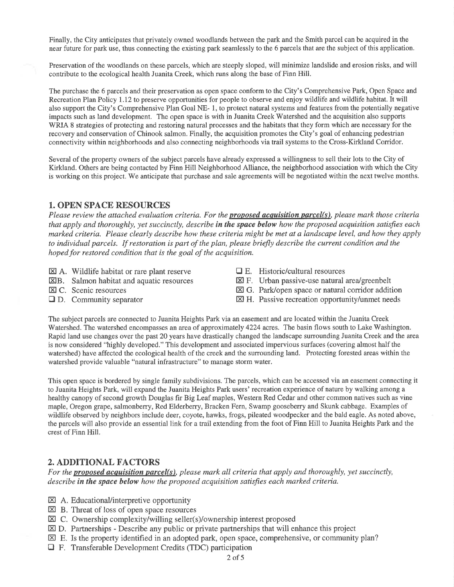Finally, the City anticipates that privately owned woodlands between the park and the Smith parcel can be acquired in the near future for park use, thus connecting the existing park seamlessly to the 6 parcels that are the subject of this application.

Preservation of the woodlands on these parcels, which are steeply sloped, will minimize landslide and erosion risks, and will contribute to the ecological health Juanita Creek, which runs along the base of Finn Hill.

The purchase the 6 parcels and their preservation as open space conform to the City's Comprehensive Park, Open Space and Recreation Plan Policy I.l2 to preserve opportunities for people to observe and enjoy wildlife and wildlife habitat. It will also support the City's Comprehensive Plan Goal NE- 1, to protect natural systems and features from the potentially negative impacts such as land development. The open space is with in Juanita Creek Watershed and the acquisition also supports WRIA 8 strategies of protecting and restoring natural processes and the habitats that they form which are necessary for the recovery and conservation of Chinook salmon. Finally, the acquisition promotes the City's goal of enhancing pedestrian connectivity within neighborhoods and also connecting neighborhoods via trail systems to the Cross-Kirkland Conidor,

Several of the property owners of the subject parcels have already expressed a willingness to sell their lots to the City of Kirkland. Others are being contacted by Finn Hill Neighborhood Alliance, the neighborhood association with which the City is working on this project. We anticipate that purchase and sale agreements will be negotiated within the next twelve months.

#### 1. OPEN SPACE RESOURCES

Please review the attached evaluation criteria. For the **proposed acquisition parcel(s)**, please mark those criteria that apply and thoroughly, yet succinctly, describe in the space below how the proposed acquisition satisfies each marked criteria. Please clearly describe how these criteria might be met at a landscape level, and how they apply to individual parcels. If restoration is part of the plan, please briefly describe the current condition and the hoped for restored condition that is the goal of the acquisition.

- $\boxtimes$  A. Wildlife habitat or rare plant reserve
- EB. Salmon habitat and aquatic resources
- E C. Scenic resources
- $\Box$  D. Community separator
- $\Box$  E. Historic/cultural resources
- $\boxtimes$  F. Urban passive-use natural area/greenbelt
- $\boxtimes$  G. Park/open space or natural corridor addition
- $\boxtimes$  H. Passive recreation opportunity/unmet needs

The subject parcels are connected to Juanita Heights Park via an easement and are located within the Juanita Creek Watershed. The watershed encompasses an area of approximately 4224 acres. The basin flows south to Lake Washington. Rapid land use changes over the past 20 years have drastically changed the landscape surrounding Juanita Creek and the area is now considered "highly developed." This development and associated impervious surfaces (covering almost half the watershed) have affected the ecological health of the creek and the surrounding land. Protecting forested areas within the watershed provide valuable "natural infrastructure" to manage storm water.

This open space is bordered by single family subdivisions. The parcels, which can be accessed via an easement connecting it to Juanita Heights Park, will expand the Juanita Heights Park users' recreation experience of nature by walking among a healthy canopy of second growth Douglas fir Big Leaf maples, Western Red Cedar and other common natives such as vine maple, Oregon grape, salmonberry, Red Elderberry, Bracken Fern, Swamp gooseberry and Skunk cabbage. Examples of wildlife observed by neighbors include deer, coyote, hawks, frogs, pileated woodpecker and the bald eagle. As noted above, the parcels will also provide an essential link for a trail extending from the foot of Finn Hill to Juanita Heights Park and the crest of Finn Hill.

#### 2. ADDITIONAL FACTORS

For the **proposed acquisition parcel(s)**, please mark all criteria that apply and thoroughly, yet succinctly, describe in the space below how the proposed acquisition satisfies each marked criteria.

- El A. Educational/interpretive opportunity
- $\overline{\boxtimes}$  B. Threat of loss of open space resources
- $\overline{\boxtimes}$  C. Ownership complexity/willing seller(s)/ownership interest proposed
- $\boxtimes$  D. Partnerships Describe any public or private partnerships that will enhance this project
- $\boxtimes$  E. Is the property identified in an adopted park, open space, comprehensive, or community plan?
- $\Box$  F. Transferable Development Credits (TDC) participation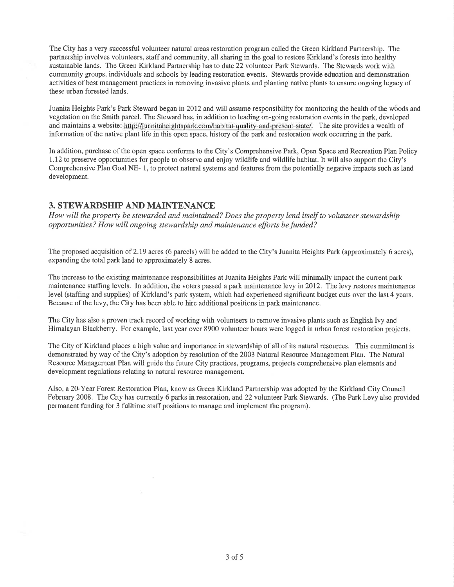The City has a very successful volunteer natural areas restoration program called the Green Kirkland Partnership. The partnership involves volunteers, staff and community, all sharing in the goal to restore Kirkland's forests into healthy sustainable lands. The Green Kirkland Partnership has to date 22 volunteer Park Stewards. The Stewards work with community groups, individuals and schools by leading restoration events. Stewards provide education and demonstration activities of best management practices in removing invasive plants and planting native plants to ensure ongoing legacy of these urban forested lands.

Juanita Heights Park's Park Steward began in 2072 and will assume responsibility for monitoring the health of the woods and vegetation on the Smith parcel. The Steward has, in addition to leading on-going restoration events in the park, developed and maintains a website: http://juanitaheightspark.com/habitat-quality-and-present-state/. The site provides a wealth of information of the native plant life in this open space, history of the park and restoration work occurring in the park.

In addition, purchase of the open space conforms to the City's Comprehensive Park, Open Space and Recreation Plan Policy LI2 to preserve opportunities for people to observe and enjoy wildlife and wildlife habitat. It will also support the City's Comprehensive Plan Goal NE- 1, to protect natural systems and features from the potentially negative impacts such as land development.

#### 3. STEWARDSHIP AND MAINTENANCE

How will the property be stewarded and maintained? Does the property lend itself to volunteer stewardship opportunities? How will ongoing stewardship and maintenance efforts befunded?

The proposed acquisition of 2.79 acres (6 parcels) will be added to the City's Juanita Heights Park (approximately 6 acres), expanding the total park land to approximately 8 acres.

The increase to the existing maintenance responsibilities at Juanita Heights Park will minimally impact the current park maintenance staffing levels, In addition, the voters passed a park maintenance levy in20l2. The levy restores maintenance level (staffing and supplies) of Kirkland's park system, which had experienced significant budget cuts over the last 4 years. Because of the levy, the City has been able to hire additional positions in park maintenance.

The City has also a proven track record of working with volunteers to remove invasive plants such as English Ivy and Himalayan Blackberry. For example, last year over 8900 volunteer hours were logged in urban forest restoration projects.

The City of Kirkland places a high value and importance in stewardship of all of its natural resources. This commitment is demonstrated by way of the City's adoption by resolution of the 2003 Natural Resource Management Plan. The Natural Resource Management Plan will guide the future City practices, programs, projects comprehensive plan elements and development regulations relating to natural resource management.

Also, a Z0-Year Forest Restoration Plan, know as Green Kirkland Partnership was adopted by the Kirkland City Council February 2008. The City has currently 6 parks in restoration; and 22 volunteer Park Stewards. (The Park Levy also provided permanent funding for 3 fulltime staff positions to manage and implement the program).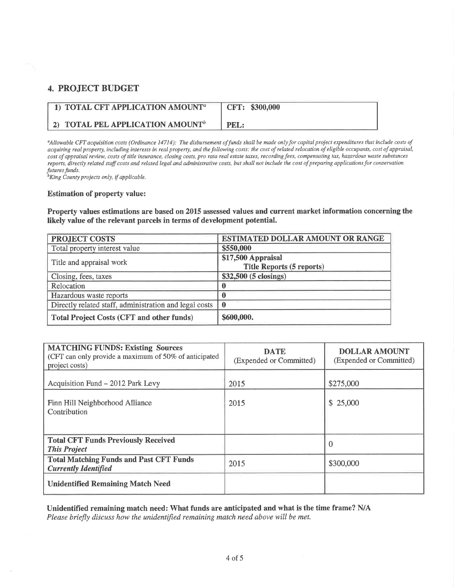## **4. PROJECT BUDGET**

| 1) TOTAL CFT APPLICATION AMOUNT <sup>a</sup> | CFT: \$300,000 |
|----------------------------------------------|----------------|
| 2) TOTAL PEL APPLICATION AMOUNT <sup>b</sup> | PEL:           |

<sup>a</sup>Allowable CFT acquisition costs (Ordinance 14714): The disbursement of funds shall be made only for capital project expenditures that include costs of acquiring real property, including interests in real property, and the following costs: the cost of related relocation of eligible occupants, cost of appraisal, cost of appraisal review, costs of title insurance, closing costs, pro rata real estate taxes, recording fees, compensating tax, hazardous waste substances reports, directly related staff costs and related legal and administrative costs, but shall not include the cost of preparing applications for conservation futures funds.

<sup>b</sup>King County projects only, if applicable.

#### **Estimation of property value:**

Property values estimations are based on 2015 assessed values and current market information concerning the likely value of the relevant parcels in terms of development potential.

| <b>PROJECT COSTS</b>                                   | ESTIMATED DOLLAR AMOUNT OR RANGE                       |  |
|--------------------------------------------------------|--------------------------------------------------------|--|
| Total property interest value                          | \$550,000                                              |  |
| Title and appraisal work                               | \$17,500 Appraisal<br><b>Title Reports (5 reports)</b> |  |
| Closing, fees, taxes                                   | \$32,500 (5 closings)                                  |  |
| Relocation                                             |                                                        |  |
| Hazardous waste reports                                |                                                        |  |
| Directly related staff, administration and legal costs | $\mathbf 0$                                            |  |
| <b>Total Project Costs (CFT and other funds)</b>       | \$600,000.                                             |  |

| <b>MATCHING FUNDS: Existing Sources</b><br>(CFT can only provide a maximum of 50% of anticipated<br>project costs) | <b>DATE</b><br>(Expended or Committed) | <b>DOLLAR AMOUNT</b><br>(Expended or Committed) |
|--------------------------------------------------------------------------------------------------------------------|----------------------------------------|-------------------------------------------------|
| Acquisition Fund - 2012 Park Levy                                                                                  | 2015                                   | \$275,000                                       |
| Finn Hill Neighborhood Alliance<br>Contribution                                                                    | 2015                                   | \$25,000                                        |
| <b>Total CFT Funds Previously Received</b><br><b>This Project</b>                                                  |                                        | 0                                               |
| <b>Total Matching Funds and Past CFT Funds</b><br><b>Currently Identified</b>                                      | 2015                                   | \$300,000                                       |
| <b>Unidentified Remaining Match Need</b>                                                                           |                                        |                                                 |

Unidentified remaining match need: What funds are anticipated and what is the time frame? N/A Please briefly discuss how the unidentified remaining match need above will be met.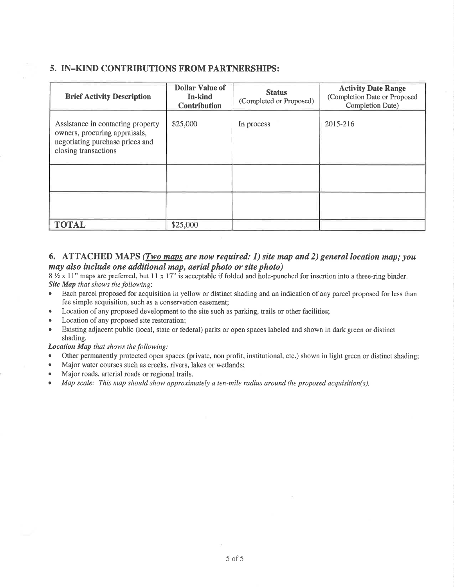### 5. IN-KIND CONTRIBUTIONS FROM PARTNERSHIPS:

| <b>Brief Activity Description</b>                                                                                             | <b>Dollar Value of</b><br>In-kind<br><b>Contribution</b> | <b>Status</b><br>(Completed or Proposed) | <b>Activity Date Range</b><br>(Completion Date or Proposed<br>Completion Date) |
|-------------------------------------------------------------------------------------------------------------------------------|----------------------------------------------------------|------------------------------------------|--------------------------------------------------------------------------------|
| Assistance in contacting property<br>owners, procuring appraisals,<br>negotiating purchase prices and<br>closing transactions | \$25,000                                                 | In process                               | 2015-216                                                                       |
|                                                                                                                               |                                                          |                                          |                                                                                |
|                                                                                                                               |                                                          |                                          |                                                                                |
| <b>TOTAL</b>                                                                                                                  | \$25,000                                                 |                                          |                                                                                |

#### 6. ATTACHED MAPS (*Two maps are now required: 1) site map and 2) general location map; you* møy also ínclude one additional map, aeríal photo or site photo)

 $8\frac{1}{2} \times 11$ " maps are preferred, but 11 x 17" is acceptable if folded and hole-punched for insertion into a three-ring binder. Site Map that shows the following:<br>• Each parcel proposed for acqui

- Each parcel proposed for acquisition in yellow or distinct shading and an indication of any parcel proposed for less than fee simple acquisition, such as a conservation easement;
- Location of any proposed development to the site such as parking, trails or other facilities;
- Location of any proposed site restoration;
- Existing adjacent public (local, state or federal) parks or open spaces labeled and shown in dark green or distinct shading.

Location Map that shows the following:

- Other permanently protected open spaces (private, non profit, institutional, etc.) shown in light green or distinct shading;
- o Major water courses such as creeks, rivers, lakes or wetlands;
- Major roads, arterial roads or regional trails.
- . Map scale: This map should show approximately ø ten-mile radius around the proposed acquisition(s).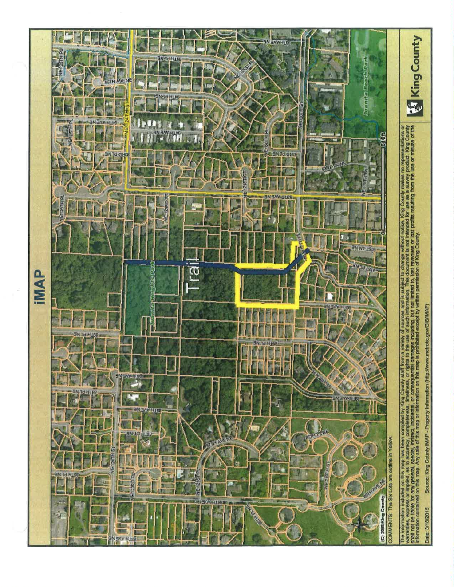